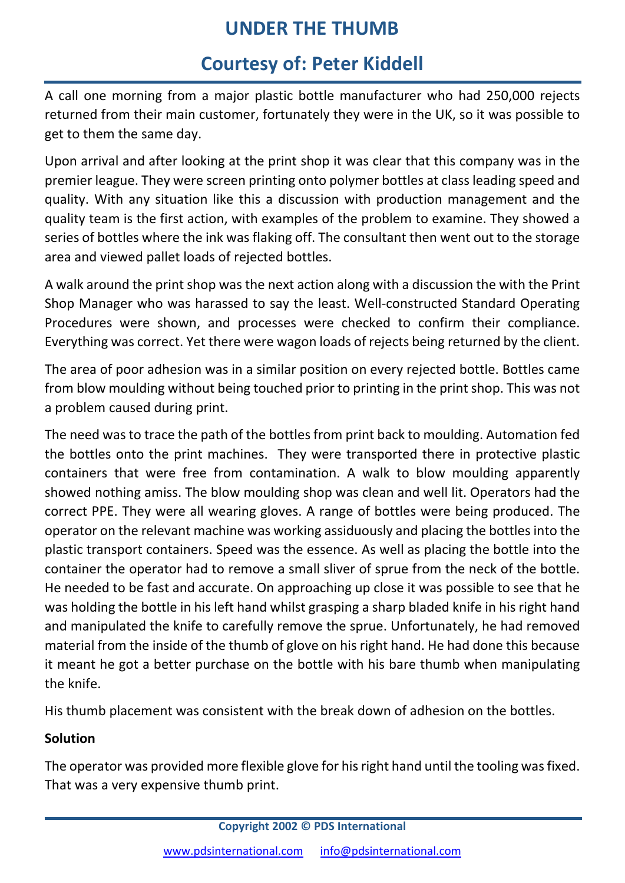# **UNDER THE THUMB**

# **Courtesy of: Peter Kiddell**

A call one morning from a major plastic bottle manufacturer who had 250,000 rejects returned from their main customer, fortunately they were in the UK, so it was possible to get to them the same day.

Upon arrival and after looking at the print shop it was clear that this company was in the premier league. They were screen printing onto polymer bottles at class leading speed and quality. With any situation like this a discussion with production management and the quality team is the first action, with examples of the problem to examine. They showed a series of bottles where the ink was flaking off. The consultant then went out to the storage area and viewed pallet loads of rejected bottles.

A walk around the print shop was the next action along with a discussion the with the Print Shop Manager who was harassed to say the least. Well‐constructed Standard Operating Procedures were shown, and processes were checked to confirm their compliance. Everything was correct. Yet there were wagon loads of rejects being returned by the client.

The area of poor adhesion was in a similar position on every rejected bottle. Bottles came from blow moulding without being touched prior to printing in the print shop. This was not a problem caused during print.

The need was to trace the path of the bottles from print back to moulding. Automation fed the bottles onto the print machines. They were transported there in protective plastic containers that were free from contamination. A walk to blow moulding apparently showed nothing amiss. The blow moulding shop was clean and well lit. Operators had the correct PPE. They were all wearing gloves. A range of bottles were being produced. The operator on the relevant machine was working assiduously and placing the bottles into the plastic transport containers. Speed was the essence. As well as placing the bottle into the container the operator had to remove a small sliver of sprue from the neck of the bottle. He needed to be fast and accurate. On approaching up close it was possible to see that he was holding the bottle in his left hand whilst grasping a sharp bladed knife in his right hand and manipulated the knife to carefully remove the sprue. Unfortunately, he had removed material from the inside of the thumb of glove on his right hand. He had done this because it meant he got a better purchase on the bottle with his bare thumb when manipulating the knife.

His thumb placement was consistent with the break down of adhesion on the bottles.

### **Solution**

The operator was provided more flexible glove for his right hand until the tooling was fixed. That was a very expensive thumb print.